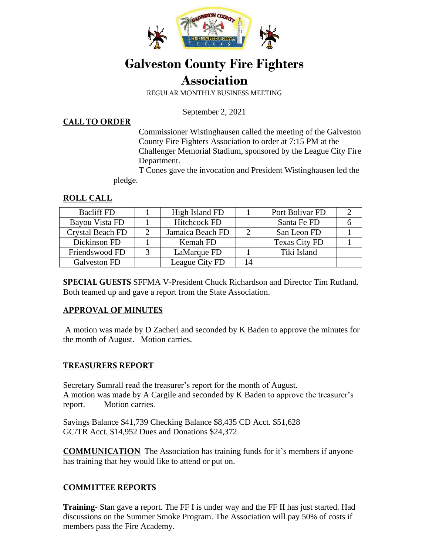

# **Galveston County Fire Fighters Association**

REGULAR MONTHLY BUSINESS MEETING

September 2, 2021

#### **CALL TO ORDER**

Commissioner Wistinghausen called the meeting of the Galveston County Fire Fighters Association to order at 7:15 PM at the Challenger Memorial Stadium, sponsored by the League City Fire Department.

 T Cones gave the invocation and President Wistinghausen led the pledge.

#### **ROLL CALL**

| <b>Bacliff FD</b> |   | High Island FD      |    | Port Bolivar FD      |  |
|-------------------|---|---------------------|----|----------------------|--|
| Bayou Vista FD    |   | <b>Hitchcock FD</b> |    | Santa Fe FD          |  |
| Crystal Beach FD  | ∍ | Jamaica Beach FD    |    | San Leon FD          |  |
| Dickinson FD      |   | Kemah FD            |    | <b>Texas City FD</b> |  |
| Friendswood FD    |   | LaMarque FD         |    | Tiki Island          |  |
| Galveston FD      |   | League City FD      | 14 |                      |  |

**SPECIAL GUESTS** SFFMA V-President Chuck Richardson and Director Tim Rutland. Both teamed up and gave a report from the State Association.

#### **APPROVAL OF MINUTES**

A motion was made by D Zacherl and seconded by K Baden to approve the minutes for the month of August. Motion carries.

#### **TREASURERS REPORT**

Secretary Sumrall read the treasurer's report for the month of August. A motion was made by A Cargile and seconded by K Baden to approve the treasurer's report. Motion carries.

Savings Balance \$41,739 Checking Balance \$8,435 CD Acct. \$51,628 GC/TR Acct. \$14,952 Dues and Donations \$24,372

**COMMUNICATION** The Association has training funds for it's members if anyone has training that hey would like to attend or put on.

#### **COMMITTEE REPORTS**

**Training-** Stan gave a report. The FF I is under way and the FF II has just started. Had discussions on the Summer Smoke Program. The Association will pay 50% of costs if members pass the Fire Academy.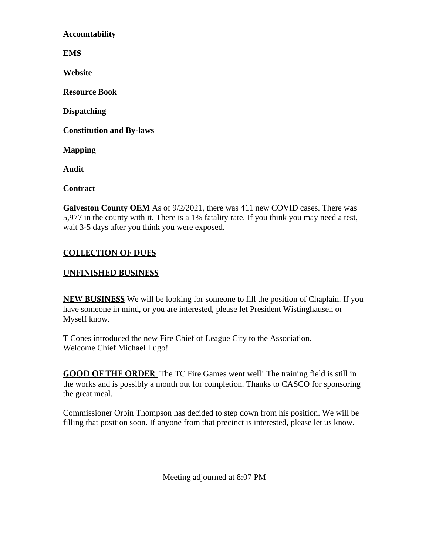**Accountability** 

**EMS** 

**Website** 

**Resource Book** 

**Dispatching** 

**Constitution and By-laws** 

**Mapping** 

**Audit** 

**Contract** 

**Galveston County OEM** As of 9/2/2021, there was 411 new COVID cases. There was 5,977 in the county with it. There is a 1% fatality rate. If you think you may need a test, wait 3-5 days after you think you were exposed.

## **COLLECTION OF DUES**

### **UNFINISHED BUSINESS**

**NEW BUSINESS** We will be looking for someone to fill the position of Chaplain. If you have someone in mind, or you are interested, please let President Wistinghausen or Myself know.

T Cones introduced the new Fire Chief of League City to the Association. Welcome Chief Michael Lugo!

**GOOD OF THE ORDER** The TC Fire Games went well! The training field is still in the works and is possibly a month out for completion. Thanks to CASCO for sponsoring the great meal.

Commissioner Orbin Thompson has decided to step down from his position. We will be filling that position soon. If anyone from that precinct is interested, please let us know.

Meeting adjourned at 8:07 PM